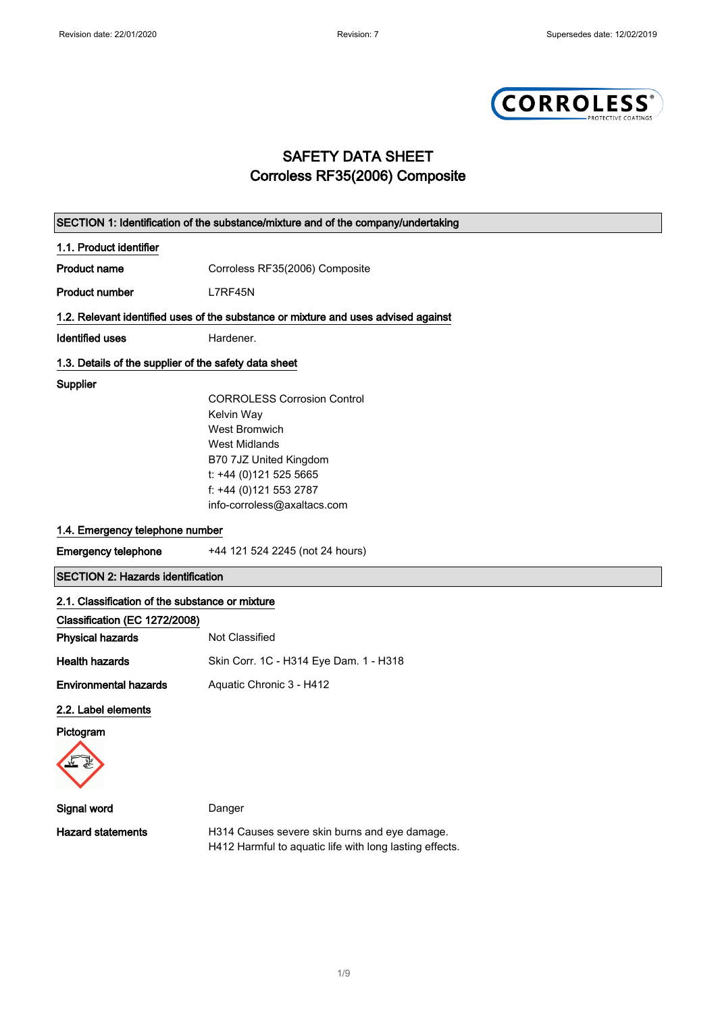

## SAFETY DATA SHEET Corroless RF35(2006) Composite

|                                                       | SECTION 1: Identification of the substance/mixture and of the company/undertaking  |
|-------------------------------------------------------|------------------------------------------------------------------------------------|
| 1.1. Product identifier                               |                                                                                    |
| <b>Product name</b>                                   | Corroless RF35(2006) Composite                                                     |
| <b>Product number</b>                                 | L7RF45N                                                                            |
|                                                       | 1.2. Relevant identified uses of the substance or mixture and uses advised against |
| <b>Identified uses</b>                                | Hardener.                                                                          |
| 1.3. Details of the supplier of the safety data sheet |                                                                                    |
| Supplier                                              |                                                                                    |
|                                                       | <b>CORROLESS Corrosion Control</b>                                                 |
|                                                       | Kelvin Way                                                                         |
|                                                       | <b>West Bromwich</b>                                                               |
|                                                       | <b>West Midlands</b>                                                               |
|                                                       | B70 7JZ United Kingdom                                                             |
|                                                       | t: +44 (0)121 525 5665                                                             |
|                                                       | f: +44 (0)121 553 2787                                                             |
|                                                       | info-corroless@axaltacs.com                                                        |
| 1.4. Emergency telephone number                       |                                                                                    |
|                                                       |                                                                                    |
| <b>Emergency telephone</b>                            | +44 121 524 2245 (not 24 hours)                                                    |
| <b>SECTION 2: Hazards identification</b>              |                                                                                    |
| 2.1. Classification of the substance or mixture       |                                                                                    |
| Classification (EC 1272/2008)                         |                                                                                    |
| <b>Physical hazards</b>                               | Not Classified                                                                     |
| <b>Health hazards</b>                                 | Skin Corr. 1C - H314 Eye Dam. 1 - H318                                             |
| <b>Environmental hazards</b>                          | Aquatic Chronic 3 - H412                                                           |
| 2.2. Label elements                                   |                                                                                    |
| Pictogram                                             |                                                                                    |
| ۷V                                                    |                                                                                    |
| Signal word                                           | Danger                                                                             |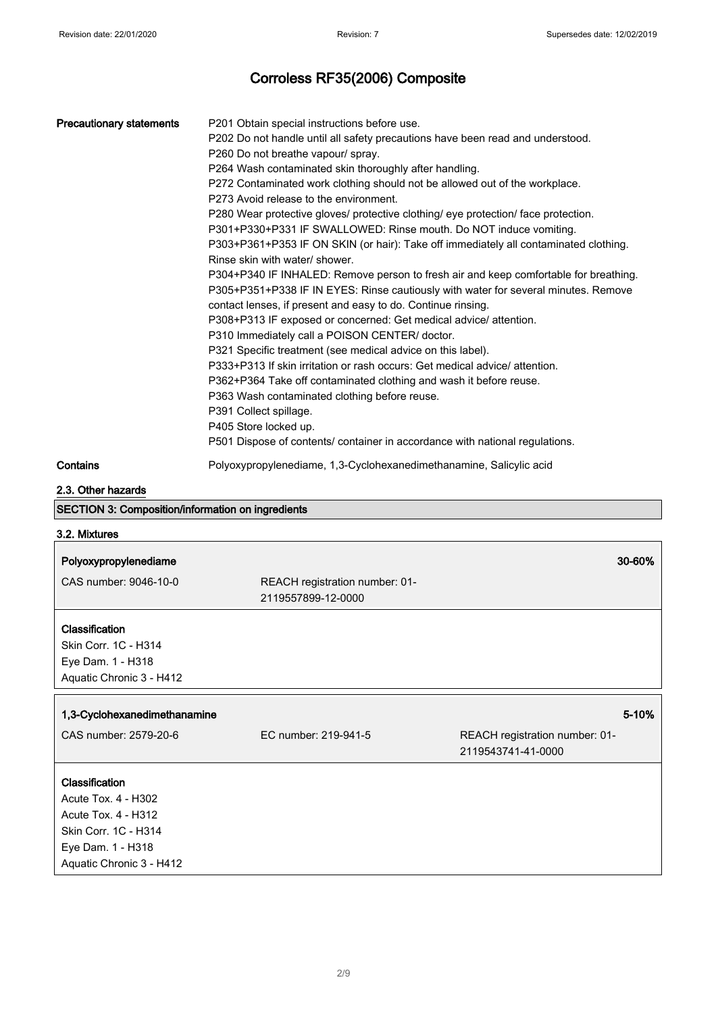| <b>Precautionary statements</b>                   | P201 Obtain special instructions before use.<br>P202 Do not handle until all safety precautions have been read and understood.<br>P260 Do not breathe vapour/ spray.       |                                                                                      |  |
|---------------------------------------------------|----------------------------------------------------------------------------------------------------------------------------------------------------------------------------|--------------------------------------------------------------------------------------|--|
|                                                   | P264 Wash contaminated skin thoroughly after handling.                                                                                                                     |                                                                                      |  |
|                                                   | P272 Contaminated work clothing should not be allowed out of the workplace.                                                                                                |                                                                                      |  |
|                                                   | P273 Avoid release to the environment.                                                                                                                                     |                                                                                      |  |
|                                                   | P280 Wear protective gloves/ protective clothing/ eye protection/ face protection.                                                                                         |                                                                                      |  |
|                                                   | P301+P330+P331 IF SWALLOWED: Rinse mouth. Do NOT induce vomiting.                                                                                                          |                                                                                      |  |
|                                                   |                                                                                                                                                                            | P303+P361+P353 IF ON SKIN (or hair): Take off immediately all contaminated clothing. |  |
|                                                   | Rinse skin with water/ shower.                                                                                                                                             |                                                                                      |  |
|                                                   | P304+P340 IF INHALED: Remove person to fresh air and keep comfortable for breathing.<br>P305+P351+P338 IF IN EYES: Rinse cautiously with water for several minutes. Remove |                                                                                      |  |
|                                                   | contact lenses, if present and easy to do. Continue rinsing.                                                                                                               |                                                                                      |  |
|                                                   | P308+P313 IF exposed or concerned: Get medical advice/ attention.                                                                                                          |                                                                                      |  |
|                                                   | P310 Immediately call a POISON CENTER/ doctor.                                                                                                                             |                                                                                      |  |
|                                                   | P321 Specific treatment (see medical advice on this label).<br>P333+P313 If skin irritation or rash occurs: Get medical advice/ attention.                                 |                                                                                      |  |
|                                                   |                                                                                                                                                                            |                                                                                      |  |
|                                                   | P362+P364 Take off contaminated clothing and wash it before reuse.                                                                                                         |                                                                                      |  |
|                                                   | P363 Wash contaminated clothing before reuse.<br>P391 Collect spillage.                                                                                                    |                                                                                      |  |
|                                                   | P405 Store locked up.                                                                                                                                                      |                                                                                      |  |
|                                                   | P501 Dispose of contents/ container in accordance with national regulations.                                                                                               |                                                                                      |  |
| Contains                                          | Polyoxypropylenediame, 1,3-Cyclohexanedimethanamine, Salicylic acid                                                                                                        |                                                                                      |  |
| 2.3. Other hazards                                |                                                                                                                                                                            |                                                                                      |  |
| SECTION 3: Composition/information on ingredients |                                                                                                                                                                            |                                                                                      |  |
| 3.2. Mixtures                                     |                                                                                                                                                                            |                                                                                      |  |
| Polyoxypropylenediame                             |                                                                                                                                                                            | 30-60%                                                                               |  |
| CAS number: 9046-10-0                             | REACH registration number: 01-                                                                                                                                             |                                                                                      |  |
|                                                   | 2119557899-12-0000                                                                                                                                                         |                                                                                      |  |
|                                                   |                                                                                                                                                                            |                                                                                      |  |
| Classification                                    |                                                                                                                                                                            |                                                                                      |  |
| Skin Corr. 1C - H314                              |                                                                                                                                                                            |                                                                                      |  |
| Eye Dam. 1 - H318                                 |                                                                                                                                                                            |                                                                                      |  |
| Aquatic Chronic 3 - H412                          |                                                                                                                                                                            |                                                                                      |  |
| 1,3-Cyclohexanedimethanamine                      |                                                                                                                                                                            | 5-10%                                                                                |  |
| CAS number: 2579-20-6                             | EC number: 219-941-5                                                                                                                                                       | REACH registration number: 01-                                                       |  |
|                                                   |                                                                                                                                                                            | 2119543741-41-0000                                                                   |  |
| Classification                                    |                                                                                                                                                                            |                                                                                      |  |
| Acute Tox. 4 - H302                               |                                                                                                                                                                            |                                                                                      |  |
| Acute Tox. 4 - H312                               |                                                                                                                                                                            |                                                                                      |  |
| Skin Corr. 1C - H314                              |                                                                                                                                                                            |                                                                                      |  |
|                                                   |                                                                                                                                                                            |                                                                                      |  |
| Eye Dam. 1 - H318                                 |                                                                                                                                                                            |                                                                                      |  |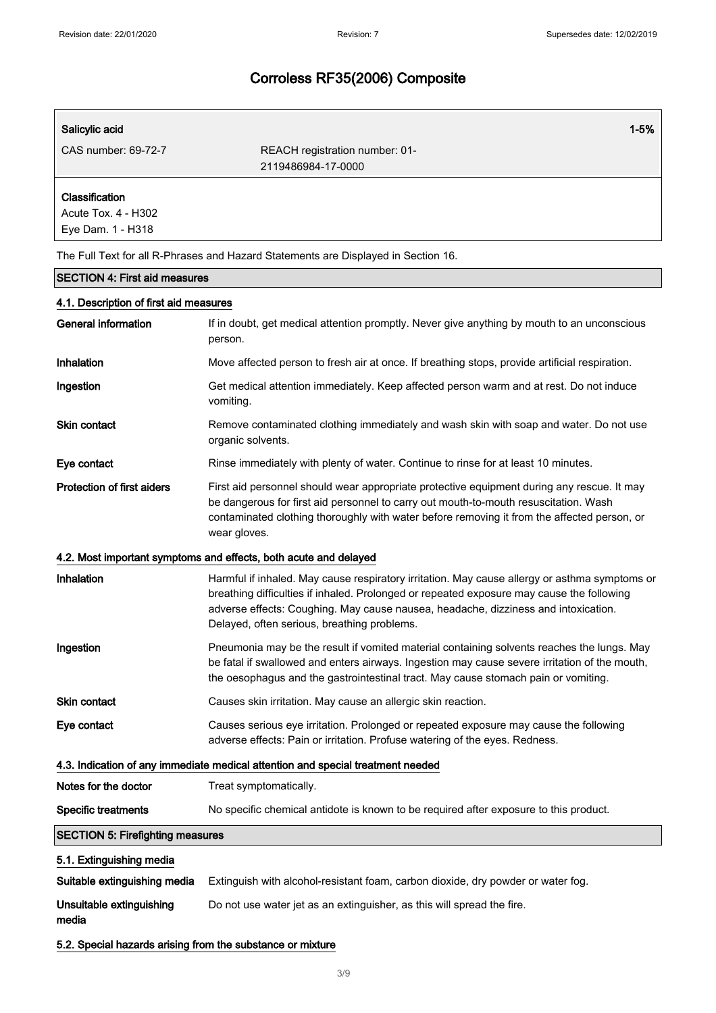| Salicylic acid                                             | $1 - 5%$                                                                                                                                                                                                                                                                                                                        |
|------------------------------------------------------------|---------------------------------------------------------------------------------------------------------------------------------------------------------------------------------------------------------------------------------------------------------------------------------------------------------------------------------|
| CAS number: 69-72-7                                        | REACH registration number: 01-<br>2119486984-17-0000                                                                                                                                                                                                                                                                            |
| Classification<br>Acute Tox. 4 - H302<br>Eye Dam. 1 - H318 |                                                                                                                                                                                                                                                                                                                                 |
|                                                            | The Full Text for all R-Phrases and Hazard Statements are Displayed in Section 16.                                                                                                                                                                                                                                              |
| <b>SECTION 4: First aid measures</b>                       |                                                                                                                                                                                                                                                                                                                                 |
| 4.1. Description of first aid measures                     |                                                                                                                                                                                                                                                                                                                                 |
| <b>General information</b>                                 | If in doubt, get medical attention promptly. Never give anything by mouth to an unconscious<br>person.                                                                                                                                                                                                                          |
| Inhalation                                                 | Move affected person to fresh air at once. If breathing stops, provide artificial respiration.                                                                                                                                                                                                                                  |
| Ingestion                                                  | Get medical attention immediately. Keep affected person warm and at rest. Do not induce<br>vomiting.                                                                                                                                                                                                                            |
| <b>Skin contact</b>                                        | Remove contaminated clothing immediately and wash skin with soap and water. Do not use<br>organic solvents.                                                                                                                                                                                                                     |
| Eye contact                                                | Rinse immediately with plenty of water. Continue to rinse for at least 10 minutes.                                                                                                                                                                                                                                              |
| <b>Protection of first aiders</b>                          | First aid personnel should wear appropriate protective equipment during any rescue. It may<br>be dangerous for first aid personnel to carry out mouth-to-mouth resuscitation. Wash<br>contaminated clothing thoroughly with water before removing it from the affected person, or<br>wear gloves.                               |
|                                                            | 4.2. Most important symptoms and effects, both acute and delayed                                                                                                                                                                                                                                                                |
| Inhalation                                                 | Harmful if inhaled. May cause respiratory irritation. May cause allergy or asthma symptoms or<br>breathing difficulties if inhaled. Prolonged or repeated exposure may cause the following<br>adverse effects: Coughing. May cause nausea, headache, dizziness and intoxication.<br>Delayed, often serious, breathing problems. |
| Ingestion                                                  | Pneumonia may be the result if vomited material containing solvents reaches the lungs. May<br>be fatal if swallowed and enters airways. Ingestion may cause severe irritation of the mouth,<br>the oesophagus and the gastrointestinal tract. May cause stomach pain or vomiting.                                               |
| Skin contact                                               | Causes skin irritation. May cause an allergic skin reaction.                                                                                                                                                                                                                                                                    |
| Eye contact                                                | Causes serious eye irritation. Prolonged or repeated exposure may cause the following<br>adverse effects: Pain or irritation. Profuse watering of the eyes. Redness.                                                                                                                                                            |
|                                                            | 4.3. Indication of any immediate medical attention and special treatment needed                                                                                                                                                                                                                                                 |
| Notes for the doctor                                       | Treat symptomatically.                                                                                                                                                                                                                                                                                                          |
| <b>Specific treatments</b>                                 | No specific chemical antidote is known to be required after exposure to this product.                                                                                                                                                                                                                                           |
| <b>SECTION 5: Firefighting measures</b>                    |                                                                                                                                                                                                                                                                                                                                 |
| 5.1. Extinguishing media                                   |                                                                                                                                                                                                                                                                                                                                 |
| Suitable extinguishing media                               | Extinguish with alcohol-resistant foam, carbon dioxide, dry powder or water fog.                                                                                                                                                                                                                                                |
| Unsuitable extinguishing<br>media                          | Do not use water jet as an extinguisher, as this will spread the fire.                                                                                                                                                                                                                                                          |

## 5.2. Special hazards arising from the substance or mixture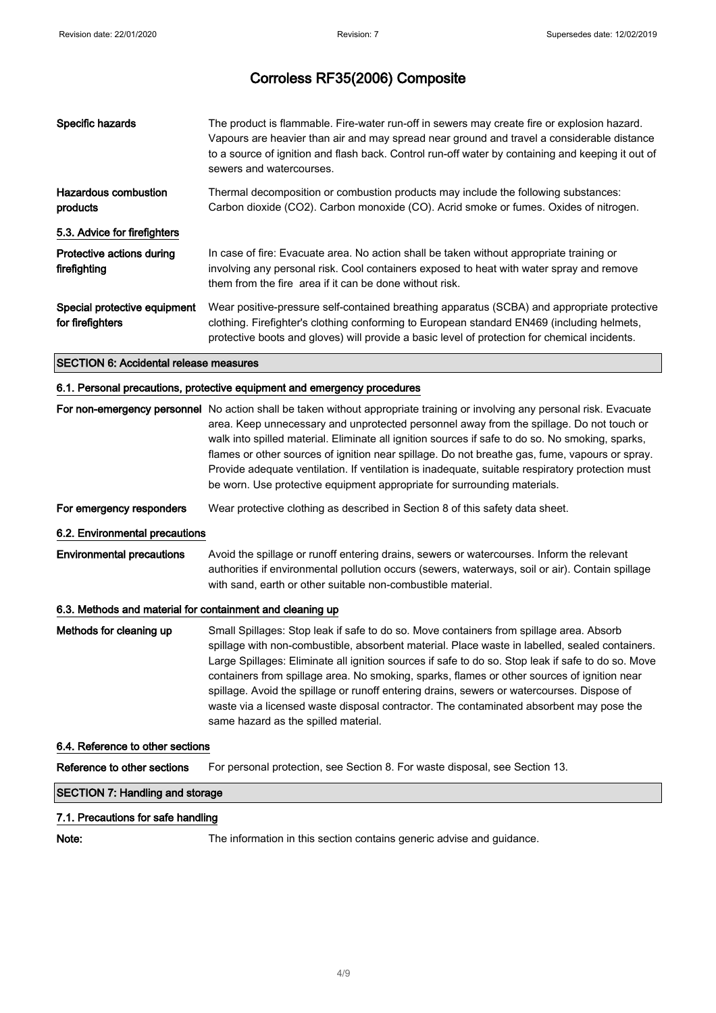| Specific hazards                                 | The product is flammable. Fire-water run-off in sewers may create fire or explosion hazard.<br>Vapours are heavier than air and may spread near ground and travel a considerable distance<br>to a source of ignition and flash back. Control run-off water by containing and keeping it out of<br>sewers and watercourses. |
|--------------------------------------------------|----------------------------------------------------------------------------------------------------------------------------------------------------------------------------------------------------------------------------------------------------------------------------------------------------------------------------|
| Hazardous combustion<br>products                 | Thermal decomposition or combustion products may include the following substances:<br>Carbon dioxide (CO2). Carbon monoxide (CO). Acrid smoke or fumes. Oxides of nitrogen.                                                                                                                                                |
| 5.3. Advice for firefighters                     |                                                                                                                                                                                                                                                                                                                            |
| Protective actions during<br>firefighting        | In case of fire: Evacuate area. No action shall be taken without appropriate training or<br>involving any personal risk. Cool containers exposed to heat with water spray and remove<br>them from the fire area if it can be done without risk.                                                                            |
| Special protective equipment<br>for firefighters | Wear positive-pressure self-contained breathing apparatus (SCBA) and appropriate protective<br>clothing. Firefighter's clothing conforming to European standard EN469 (including helmets,<br>protective boots and gloves) will provide a basic level of protection for chemical incidents.                                 |

### SECTION 6: Accidental release measures

## 6.1. Personal precautions, protective equipment and emergency procedures

|                                        | For non-emergency personnel No action shall be taken without appropriate training or involving any personal risk. Evacuate<br>area. Keep unnecessary and unprotected personnel away from the spillage. Do not touch or<br>walk into spilled material. Eliminate all ignition sources if safe to do so. No smoking, sparks,<br>flames or other sources of ignition near spillage. Do not breathe gas, fume, vapours or spray.<br>Provide adequate ventilation. If ventilation is inadequate, suitable respiratory protection must<br>be worn. Use protective equipment appropriate for surrounding materials.                    |  |  |
|----------------------------------------|---------------------------------------------------------------------------------------------------------------------------------------------------------------------------------------------------------------------------------------------------------------------------------------------------------------------------------------------------------------------------------------------------------------------------------------------------------------------------------------------------------------------------------------------------------------------------------------------------------------------------------|--|--|
| For emergency responders               | Wear protective clothing as described in Section 8 of this safety data sheet.                                                                                                                                                                                                                                                                                                                                                                                                                                                                                                                                                   |  |  |
| 6.2. Environmental precautions         |                                                                                                                                                                                                                                                                                                                                                                                                                                                                                                                                                                                                                                 |  |  |
| <b>Environmental precautions</b>       | Avoid the spillage or runoff entering drains, sewers or watercourses. Inform the relevant<br>authorities if environmental pollution occurs (sewers, waterways, soil or air). Contain spillage<br>with sand, earth or other suitable non-combustible material.                                                                                                                                                                                                                                                                                                                                                                   |  |  |
|                                        | 6.3. Methods and material for containment and cleaning up                                                                                                                                                                                                                                                                                                                                                                                                                                                                                                                                                                       |  |  |
| Methods for cleaning up                | Small Spillages: Stop leak if safe to do so. Move containers from spillage area. Absorb<br>spillage with non-combustible, absorbent material. Place waste in labelled, sealed containers.<br>Large Spillages: Eliminate all ignition sources if safe to do so. Stop leak if safe to do so. Move<br>containers from spillage area. No smoking, sparks, flames or other sources of ignition near<br>spillage. Avoid the spillage or runoff entering drains, sewers or watercourses. Dispose of<br>waste via a licensed waste disposal contractor. The contaminated absorbent may pose the<br>same hazard as the spilled material. |  |  |
| 6.4. Reference to other sections       |                                                                                                                                                                                                                                                                                                                                                                                                                                                                                                                                                                                                                                 |  |  |
| Reference to other sections            | For personal protection, see Section 8. For waste disposal, see Section 13.                                                                                                                                                                                                                                                                                                                                                                                                                                                                                                                                                     |  |  |
| <b>SECTION 7: Handling and storage</b> |                                                                                                                                                                                                                                                                                                                                                                                                                                                                                                                                                                                                                                 |  |  |
| 7.1. Precautions for safe handling     |                                                                                                                                                                                                                                                                                                                                                                                                                                                                                                                                                                                                                                 |  |  |

Note: The information in this section contains generic advise and guidance.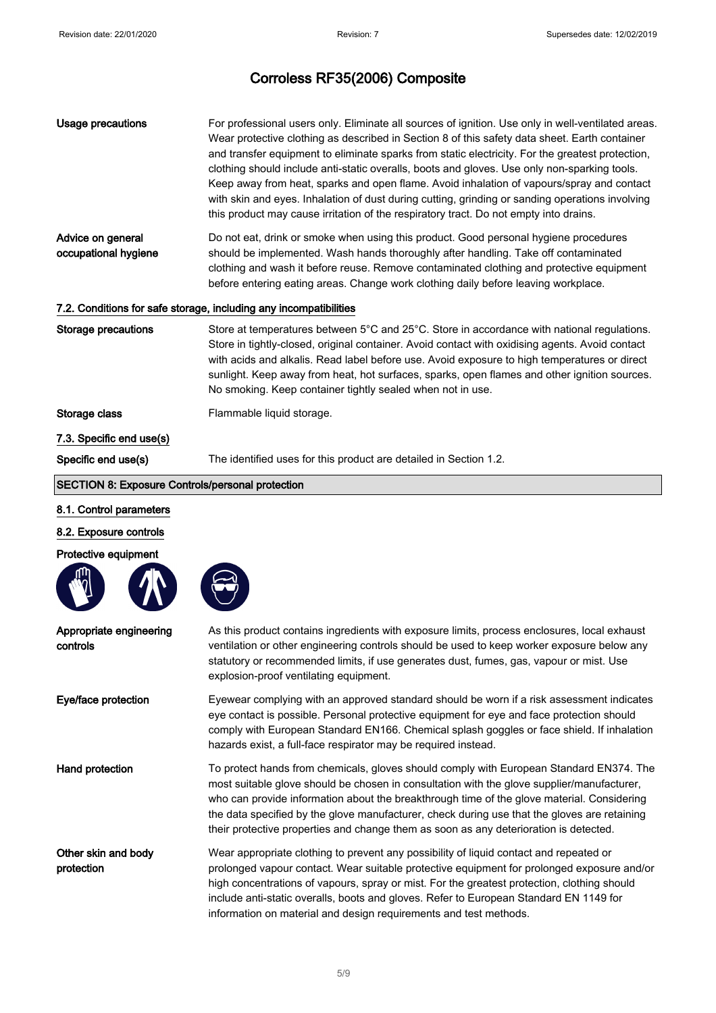| Usage precautions                                                 | For professional users only. Eliminate all sources of ignition. Use only in well-ventilated areas.<br>Wear protective clothing as described in Section 8 of this safety data sheet. Earth container<br>and transfer equipment to eliminate sparks from static electricity. For the greatest protection,<br>clothing should include anti-static overalls, boots and gloves. Use only non-sparking tools.<br>Keep away from heat, sparks and open flame. Avoid inhalation of vapours/spray and contact<br>with skin and eyes. Inhalation of dust during cutting, grinding or sanding operations involving<br>this product may cause irritation of the respiratory tract. Do not empty into drains. |  |
|-------------------------------------------------------------------|--------------------------------------------------------------------------------------------------------------------------------------------------------------------------------------------------------------------------------------------------------------------------------------------------------------------------------------------------------------------------------------------------------------------------------------------------------------------------------------------------------------------------------------------------------------------------------------------------------------------------------------------------------------------------------------------------|--|
| Advice on general<br>occupational hygiene                         | Do not eat, drink or smoke when using this product. Good personal hygiene procedures<br>should be implemented. Wash hands thoroughly after handling. Take off contaminated<br>clothing and wash it before reuse. Remove contaminated clothing and protective equipment<br>before entering eating areas. Change work clothing daily before leaving workplace.                                                                                                                                                                                                                                                                                                                                     |  |
| 7.2. Conditions for safe storage, including any incompatibilities |                                                                                                                                                                                                                                                                                                                                                                                                                                                                                                                                                                                                                                                                                                  |  |
| <b>Storage precautions</b>                                        | Store at temperatures between 5°C and 25°C. Store in accordance with national regulations.<br>Store in tightly-closed, original container. Avoid contact with oxidising agents. Avoid contact<br>with acids and alkalis. Read label before use. Avoid exposure to high temperatures or direct<br>sunlight. Keep away from heat, hot surfaces, sparks, open flames and other ignition sources.<br>No smoking. Keep container tightly sealed when not in use.                                                                                                                                                                                                                                      |  |
| Storage class                                                     | Flammable liquid storage.                                                                                                                                                                                                                                                                                                                                                                                                                                                                                                                                                                                                                                                                        |  |
| 7.3. Specific end use(s)                                          |                                                                                                                                                                                                                                                                                                                                                                                                                                                                                                                                                                                                                                                                                                  |  |
| Specific end use(s)                                               | The identified uses for this product are detailed in Section 1.2.                                                                                                                                                                                                                                                                                                                                                                                                                                                                                                                                                                                                                                |  |
| <b>SECTION 8: Exposure Controls/personal protection</b>           |                                                                                                                                                                                                                                                                                                                                                                                                                                                                                                                                                                                                                                                                                                  |  |
| 8.1. Control parameters                                           |                                                                                                                                                                                                                                                                                                                                                                                                                                                                                                                                                                                                                                                                                                  |  |
| 8.2. Exposure controls                                            |                                                                                                                                                                                                                                                                                                                                                                                                                                                                                                                                                                                                                                                                                                  |  |

## Protective equipment





| Appropriate engineering<br>controls | As this product contains ingredients with exposure limits, process enclosures, local exhaust<br>ventilation or other engineering controls should be used to keep worker exposure below any<br>statutory or recommended limits, if use generates dust, fumes, gas, vapour or mist. Use<br>explosion-proof ventilating equipment.                                                                                                                                              |
|-------------------------------------|------------------------------------------------------------------------------------------------------------------------------------------------------------------------------------------------------------------------------------------------------------------------------------------------------------------------------------------------------------------------------------------------------------------------------------------------------------------------------|
| Eye/face protection                 | Eyewear complying with an approved standard should be worn if a risk assessment indicates<br>eye contact is possible. Personal protective equipment for eye and face protection should<br>comply with European Standard EN166. Chemical splash goggles or face shield. If inhalation<br>hazards exist, a full-face respirator may be required instead.                                                                                                                       |
| Hand protection                     | To protect hands from chemicals, gloves should comply with European Standard EN374. The<br>most suitable glove should be chosen in consultation with the glove supplier/manufacturer,<br>who can provide information about the breakthrough time of the glove material. Considering<br>the data specified by the glove manufacturer, check during use that the gloves are retaining<br>their protective properties and change them as soon as any deterioration is detected. |
| Other skin and body<br>protection   | Wear appropriate clothing to prevent any possibility of liquid contact and repeated or<br>prolonged vapour contact. Wear suitable protective equipment for prolonged exposure and/or<br>high concentrations of vapours, spray or mist. For the greatest protection, clothing should<br>include anti-static overalls, boots and gloves. Refer to European Standard EN 1149 for<br>information on material and design requirements and test methods.                           |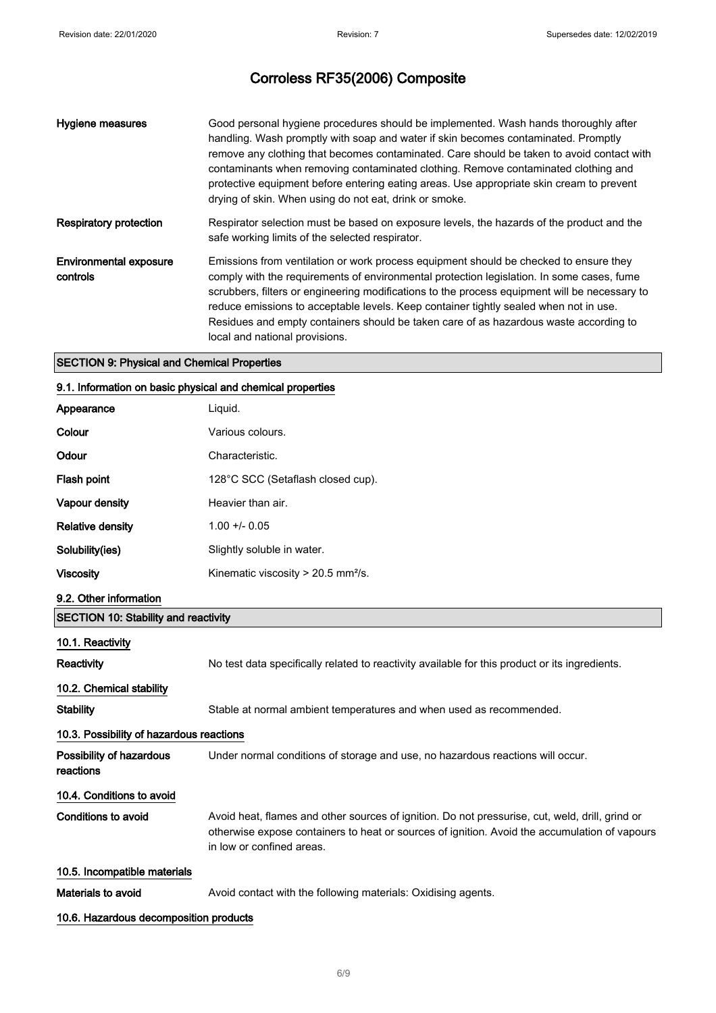| <b>Hygiene measures</b>            | Good personal hygiene procedures should be implemented. Wash hands thoroughly after<br>handling. Wash promptly with soap and water if skin becomes contaminated. Promptly<br>remove any clothing that becomes contaminated. Care should be taken to avoid contact with<br>contaminants when removing contaminated clothing. Remove contaminated clothing and<br>protective equipment before entering eating areas. Use appropriate skin cream to prevent<br>drying of skin. When using do not eat, drink or smoke. |
|------------------------------------|--------------------------------------------------------------------------------------------------------------------------------------------------------------------------------------------------------------------------------------------------------------------------------------------------------------------------------------------------------------------------------------------------------------------------------------------------------------------------------------------------------------------|
| Respiratory protection             | Respirator selection must be based on exposure levels, the hazards of the product and the<br>safe working limits of the selected respirator.                                                                                                                                                                                                                                                                                                                                                                       |
| Environmental exposure<br>controls | Emissions from ventilation or work process equipment should be checked to ensure they<br>comply with the requirements of environmental protection legislation. In some cases, fume<br>scrubbers, filters or engineering modifications to the process equipment will be necessary to<br>reduce emissions to acceptable levels. Keep container tightly sealed when not in use.<br>Residues and empty containers should be taken care of as hazardous waste according to<br>local and national provisions.            |

## SECTION 9: Physical and Chemical Properties

### 9.1. Information on basic physical and chemical properties

| Appearance                                  | Liquid.                                                                                                                                                                                                                       |
|---------------------------------------------|-------------------------------------------------------------------------------------------------------------------------------------------------------------------------------------------------------------------------------|
| Colour                                      | Various colours.                                                                                                                                                                                                              |
| Odour                                       | Characteristic.                                                                                                                                                                                                               |
| <b>Flash point</b>                          | 128°C SCC (Setaflash closed cup).                                                                                                                                                                                             |
| Vapour density                              | Heavier than air.                                                                                                                                                                                                             |
| <b>Relative density</b>                     | $1.00 +/- 0.05$                                                                                                                                                                                                               |
| Solubility(ies)                             | Slightly soluble in water.                                                                                                                                                                                                    |
| <b>Viscosity</b>                            | Kinematic viscosity > 20.5 mm <sup>2</sup> /s.                                                                                                                                                                                |
| 9.2. Other information                      |                                                                                                                                                                                                                               |
| <b>SECTION 10: Stability and reactivity</b> |                                                                                                                                                                                                                               |
| 10.1. Reactivity                            |                                                                                                                                                                                                                               |
| Reactivity                                  | No test data specifically related to reactivity available for this product or its ingredients.                                                                                                                                |
| 10.2. Chemical stability                    |                                                                                                                                                                                                                               |
| <b>Stability</b>                            | Stable at normal ambient temperatures and when used as recommended.                                                                                                                                                           |
| 10.3. Possibility of hazardous reactions    |                                                                                                                                                                                                                               |
| Possibility of hazardous<br>reactions       | Under normal conditions of storage and use, no hazardous reactions will occur.                                                                                                                                                |
| 10.4. Conditions to avoid                   |                                                                                                                                                                                                                               |
| <b>Conditions to avoid</b>                  | Avoid heat, flames and other sources of ignition. Do not pressurise, cut, weld, drill, grind or<br>otherwise expose containers to heat or sources of ignition. Avoid the accumulation of vapours<br>in low or confined areas. |
| 10.5. Incompatible materials                |                                                                                                                                                                                                                               |
| Materials to avoid                          | Avoid contact with the following materials: Oxidising agents.                                                                                                                                                                 |

## 10.6. Hazardous decomposition products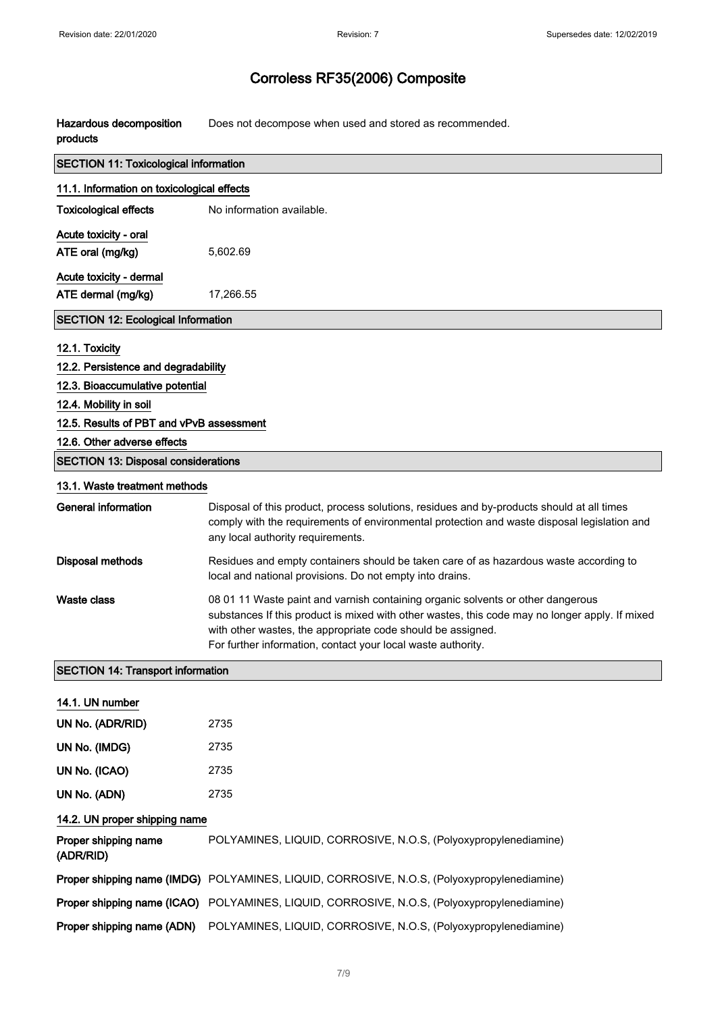Hazardous decomposition products Does not decompose when used and stored as recommended.

| <b>SECTION 11: Toxicological information</b> |                                                                                                                                                                                                                                                                                                                  |  |
|----------------------------------------------|------------------------------------------------------------------------------------------------------------------------------------------------------------------------------------------------------------------------------------------------------------------------------------------------------------------|--|
| 11.1. Information on toxicological effects   |                                                                                                                                                                                                                                                                                                                  |  |
| <b>Toxicological effects</b>                 | No information available.                                                                                                                                                                                                                                                                                        |  |
| Acute toxicity - oral                        |                                                                                                                                                                                                                                                                                                                  |  |
| ATE oral (mg/kg)                             | 5,602.69                                                                                                                                                                                                                                                                                                         |  |
| Acute toxicity - dermal                      |                                                                                                                                                                                                                                                                                                                  |  |
| ATE dermal (mg/kg)                           | 17,266.55                                                                                                                                                                                                                                                                                                        |  |
| <b>SECTION 12: Ecological Information</b>    |                                                                                                                                                                                                                                                                                                                  |  |
| 12.1. Toxicity                               |                                                                                                                                                                                                                                                                                                                  |  |
| 12.2. Persistence and degradability          |                                                                                                                                                                                                                                                                                                                  |  |
| 12.3. Bioaccumulative potential              |                                                                                                                                                                                                                                                                                                                  |  |
| 12.4. Mobility in soil                       |                                                                                                                                                                                                                                                                                                                  |  |
| 12.5. Results of PBT and vPvB assessment     |                                                                                                                                                                                                                                                                                                                  |  |
| 12.6. Other adverse effects                  |                                                                                                                                                                                                                                                                                                                  |  |
| <b>SECTION 13: Disposal considerations</b>   |                                                                                                                                                                                                                                                                                                                  |  |
| 13.1. Waste treatment methods                |                                                                                                                                                                                                                                                                                                                  |  |
| <b>General information</b>                   | Disposal of this product, process solutions, residues and by-products should at all times<br>comply with the requirements of environmental protection and waste disposal legislation and<br>any local authority requirements.                                                                                    |  |
| <b>Disposal methods</b>                      | Residues and empty containers should be taken care of as hazardous waste according to<br>local and national provisions. Do not empty into drains.                                                                                                                                                                |  |
| <b>Waste class</b>                           | 08 01 11 Waste paint and varnish containing organic solvents or other dangerous<br>substances If this product is mixed with other wastes, this code may no longer apply. If mixed<br>with other wastes, the appropriate code should be assigned.<br>For further information, contact your local waste authority. |  |
| <b>SECTION 14: Transport information</b>     |                                                                                                                                                                                                                                                                                                                  |  |
| 14.1. UN number                              |                                                                                                                                                                                                                                                                                                                  |  |
| UN No. (ADR/RID)                             | 2735                                                                                                                                                                                                                                                                                                             |  |
| UN No. (IMDG)                                | 2735                                                                                                                                                                                                                                                                                                             |  |
| UN No. (ICAO)                                | 2735                                                                                                                                                                                                                                                                                                             |  |
| UN No. (ADN)                                 | 2735                                                                                                                                                                                                                                                                                                             |  |
| 14.2. UN proper shipping name                |                                                                                                                                                                                                                                                                                                                  |  |
| Proper shipping name<br>(ADR/RID)            | POLYAMINES, LIQUID, CORROSIVE, N.O.S, (Polyoxypropylenediamine)                                                                                                                                                                                                                                                  |  |
|                                              | Proper shipping name (IMDG) POLYAMINES, LIQUID, CORROSIVE, N.O.S, (Polyoxypropylenediamine)                                                                                                                                                                                                                      |  |
|                                              | Proper shipping name (ICAO) POLYAMINES, LIQUID, CORROSIVE, N.O.S, (Polyoxypropylenediamine)                                                                                                                                                                                                                      |  |
| Proper shipping name (ADN)                   | POLYAMINES, LIQUID, CORROSIVE, N.O.S, (Polyoxypropylenediamine)                                                                                                                                                                                                                                                  |  |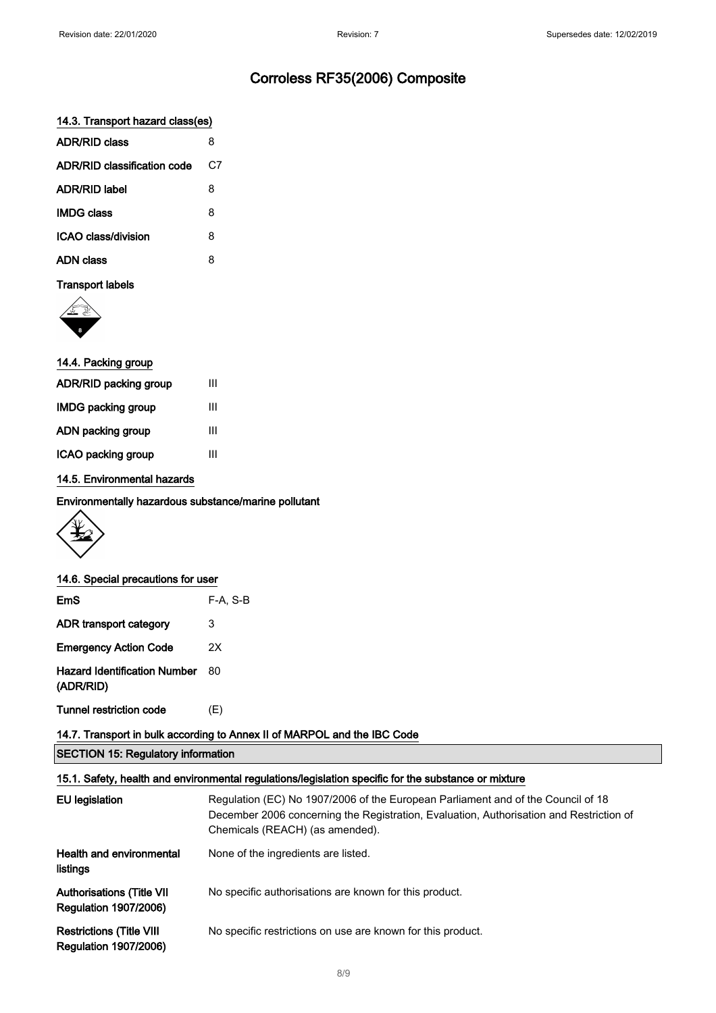### 14.3. Transport hazard class(es)

| <b>ADR/RID class</b>        | 8  |
|-----------------------------|----|
| ADR/RID classification code | C7 |
| <b>ADR/RID label</b>        | 8  |
| <b>IMDG class</b>           | 8  |
| ICAO class/division         | 8  |
| ADN class                   | 8  |
|                             |    |

### Transport labels



| 14.4. Packing group   |   |
|-----------------------|---|
| ADR/RID packing group | Ш |
| IMDG packing group    | Ш |
| ADN packing group     | Ш |
| ICAO packing group    | Ш |
|                       |   |

### 14.5. Environmental hazards

Environmentally hazardous substance/marine pollutant



#### 14.6. Special precautions for user

| EmS                                              | $F-A, S-B$ |
|--------------------------------------------------|------------|
| ADR transport category                           | 3          |
| <b>Emergency Action Code</b>                     | 2X         |
| <b>Hazard Identification Number</b><br>(ADR/RID) | 80         |
| <b>Tunnel restriction code</b>                   | (E)        |

## 14.7. Transport in bulk according to Annex II of MARPOL and the IBC Code

SECTION 15: Regulatory information

#### 15.1. Safety, health and environmental regulations/legislation specific for the substance or mixture

| EU legislation                                                   | Regulation (EC) No 1907/2006 of the European Parliament and of the Council of 18<br>December 2006 concerning the Registration, Evaluation, Authorisation and Restriction of<br>Chemicals (REACH) (as amended). |
|------------------------------------------------------------------|----------------------------------------------------------------------------------------------------------------------------------------------------------------------------------------------------------------|
| <b>Health and environmental</b><br>listings                      | None of the ingredients are listed.                                                                                                                                                                            |
| <b>Authorisations (Title VII</b><br><b>Regulation 1907/2006)</b> | No specific authorisations are known for this product.                                                                                                                                                         |
| <b>Restrictions (Title VIII</b><br><b>Regulation 1907/2006)</b>  | No specific restrictions on use are known for this product.                                                                                                                                                    |